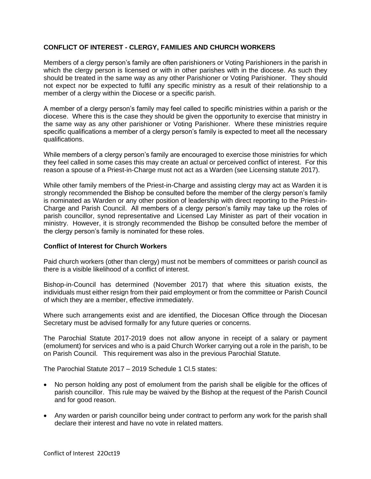## **CONFLICT OF INTEREST - CLERGY, FAMILIES AND CHURCH WORKERS**

Members of a clergy person's family are often parishioners or Voting Parishioners in the parish in which the clergy person is licensed or with in other parishes with in the diocese. As such they should be treated in the same way as any other Parishioner or Voting Parishioner. They should not expect nor be expected to fulfil any specific ministry as a result of their relationship to a member of a clergy within the Diocese or a specific parish.

A member of a clergy person's family may feel called to specific ministries within a parish or the diocese. Where this is the case they should be given the opportunity to exercise that ministry in the same way as any other parishioner or Voting Parishioner. Where these ministries require specific qualifications a member of a clergy person's family is expected to meet all the necessary qualifications.

While members of a clergy person's family are encouraged to exercise those ministries for which they feel called in some cases this may create an actual or perceived conflict of interest. For this reason a spouse of a Priest-in-Charge must not act as a Warden (see Licensing statute 2017).

While other family members of the Priest-in-Charge and assisting clergy may act as Warden it is strongly recommended the Bishop be consulted before the member of the clergy person's family is nominated as Warden or any other position of leadership with direct reporting to the Priest-in-Charge and Parish Council. All members of a clergy person's family may take up the roles of parish councillor, synod representative and Licensed Lay Minister as part of their vocation in ministry. However, it is strongly recommended the Bishop be consulted before the member of the clergy person's family is nominated for these roles.

## **Conflict of Interest for Church Workers**

Paid church workers (other than clergy) must not be members of committees or parish council as there is a visible likelihood of a conflict of interest.

Bishop-in-Council has determined (November 2017) that where this situation exists, the individuals must either resign from their paid employment or from the committee or Parish Council of which they are a member, effective immediately.

Where such arrangements exist and are identified, the Diocesan Office through the Diocesan Secretary must be advised formally for any future queries or concerns.

The Parochial Statute 2017-2019 does not allow anyone in receipt of a salary or payment (emolument) for services and who is a paid Church Worker carrying out a role in the parish, to be on Parish Council. This requirement was also in the previous Parochial Statute.

The Parochial Statute 2017 – 2019 Schedule 1 Cl.5 states:

- No person holding any post of emolument from the parish shall be eligible for the offices of parish councillor. This rule may be waived by the Bishop at the request of the Parish Council and for good reason.
- Any warden or parish councillor being under contract to perform any work for the parish shall declare their interest and have no vote in related matters.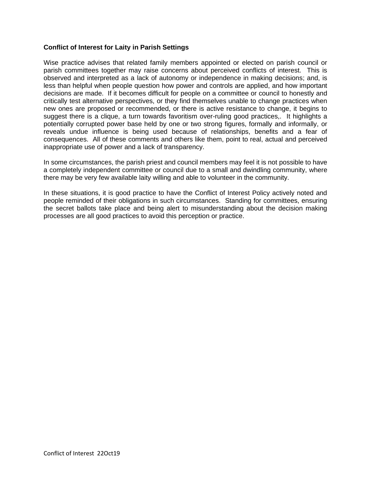## **Conflict of Interest for Laity in Parish Settings**

Wise practice advises that related family members appointed or elected on parish council or parish committees together may raise concerns about perceived conflicts of interest. This is observed and interpreted as a lack of autonomy or independence in making decisions; and, is less than helpful when people question how power and controls are applied, and how important decisions are made. If it becomes difficult for people on a committee or council to honestly and critically test alternative perspectives, or they find themselves unable to change practices when new ones are proposed or recommended, or there is active resistance to change, it begins to suggest there is a clique, a turn towards favoritism over-ruling good practices,. It highlights a potentially corrupted power base held by one or two strong figures, formally and informally, or reveals undue influence is being used because of relationships, benefits and a fear of consequences. All of these comments and others like them, point to real, actual and perceived inappropriate use of power and a lack of transparency.

In some circumstances, the parish priest and council members may feel it is not possible to have a completely independent committee or council due to a small and dwindling community, where there may be very few available laity willing and able to volunteer in the community.

In these situations, it is good practice to have the Conflict of Interest Policy actively noted and people reminded of their obligations in such circumstances. Standing for committees, ensuring the secret ballots take place and being alert to misunderstanding about the decision making processes are all good practices to avoid this perception or practice.